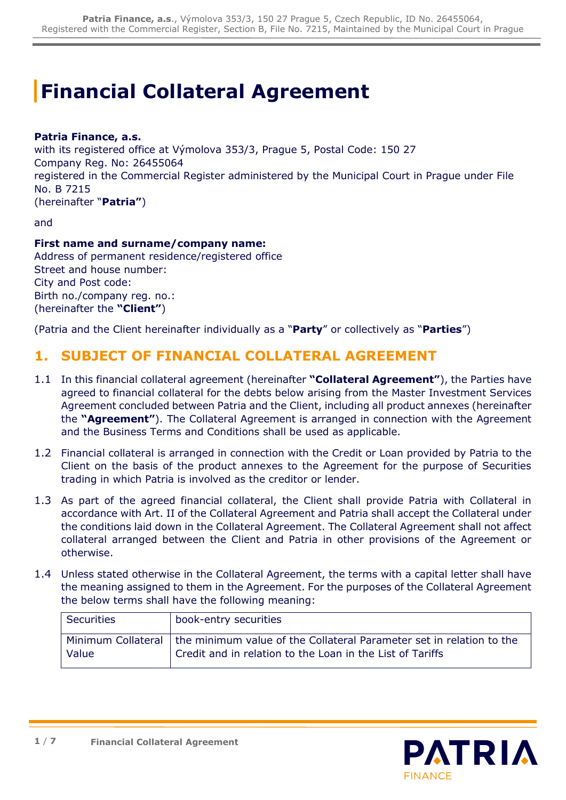# **Financial Collateral Agreement**

#### **Patria Finance, a.s.**

with its registered office at Výmolova 353/3, Prague 5, Postal Code: 150 27 Company Reg. No: 26455064 registered in the Commercial Register administered by the Municipal Court in Prague under File No. B 7215 (hereinafter "**Patria"**)

and

#### **First name and surname/company name:**

Address of permanent residence/registered office Street and house number: City and Post code: Birth no./company reg. no.: (hereinafter the **"Client"**)

(Patria and the Client hereinafter individually as a "**Party**" or collectively as "**Parties**")

#### **1. SUBJECT OF FINANCIAL COLLATERAL AGREEMENT**

- 1.1 In this financial collateral agreement (hereinafter **"Collateral Agreement"**), the Parties have agreed to financial collateral for the debts below arising from the Master Investment Services Agreement concluded between Patria and the Client, including all product annexes (hereinafter the **"Agreement"**). The Collateral Agreement is arranged in connection with the Agreement and the Business Terms and Conditions shall be used as applicable.
- 1.2 Financial collateral is arranged in connection with the Credit or Loan provided by Patria to the Client on the basis of the product annexes to the Agreement for the purpose of Securities trading in which Patria is involved as the creditor or lender.
- 1.3 As part of the agreed financial collateral, the Client shall provide Patria with Collateral in accordance with Art. II of the Collateral Agreement and Patria shall accept the Collateral under the conditions laid down in the Collateral Agreement. The Collateral Agreement shall not affect collateral arranged between the Client and Patria in other provisions of the Agreement or otherwise.
- 1.4 Unless stated otherwise in the Collateral Agreement, the terms with a capital letter shall have the meaning assigned to them in the Agreement. For the purposes of the Collateral Agreement the below terms shall have the following meaning:

| <b>Securities</b> | book-entry securities                                                                                                                                  |
|-------------------|--------------------------------------------------------------------------------------------------------------------------------------------------------|
| Value             | Minimum Collateral   the minimum value of the Collateral Parameter set in relation to the<br>Credit and in relation to the Loan in the List of Tariffs |

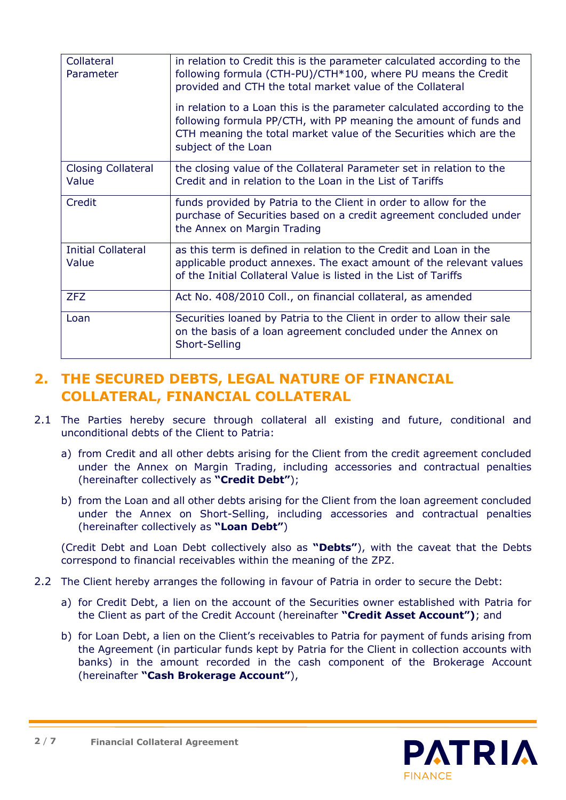| Collateral<br>Parameter            | in relation to Credit this is the parameter calculated according to the<br>following formula (CTH-PU)/CTH*100, where PU means the Credit<br>provided and CTH the total market value of the Collateral<br>in relation to a Loan this is the parameter calculated according to the<br>following formula PP/CTH, with PP meaning the amount of funds and<br>CTH meaning the total market value of the Securities which are the<br>subject of the Loan |
|------------------------------------|----------------------------------------------------------------------------------------------------------------------------------------------------------------------------------------------------------------------------------------------------------------------------------------------------------------------------------------------------------------------------------------------------------------------------------------------------|
| <b>Closing Collateral</b><br>Value | the closing value of the Collateral Parameter set in relation to the<br>Credit and in relation to the Loan in the List of Tariffs                                                                                                                                                                                                                                                                                                                  |
| Credit                             | funds provided by Patria to the Client in order to allow for the<br>purchase of Securities based on a credit agreement concluded under<br>the Annex on Margin Trading                                                                                                                                                                                                                                                                              |
| <b>Initial Collateral</b><br>Value | as this term is defined in relation to the Credit and Loan in the<br>applicable product annexes. The exact amount of the relevant values<br>of the Initial Collateral Value is listed in the List of Tariffs                                                                                                                                                                                                                                       |
| <b>ZFZ</b>                         | Act No. 408/2010 Coll., on financial collateral, as amended                                                                                                                                                                                                                                                                                                                                                                                        |
| Loan                               | Securities loaned by Patria to the Client in order to allow their sale<br>on the basis of a loan agreement concluded under the Annex on<br>Short-Selling                                                                                                                                                                                                                                                                                           |

## **2. THE SECURED DEBTS, LEGAL NATURE OF FINANCIAL COLLATERAL, FINANCIAL COLLATERAL**

- 2.1 The Parties hereby secure through collateral all existing and future, conditional and unconditional debts of the Client to Patria:
	- a) from Credit and all other debts arising for the Client from the credit agreement concluded under the Annex on Margin Trading, including accessories and contractual penalties (hereinafter collectively as **"Credit Debt"**);
	- b) from the Loan and all other debts arising for the Client from the loan agreement concluded under the Annex on Short-Selling, including accessories and contractual penalties (hereinafter collectively as **"Loan Debt"**)

(Credit Debt and Loan Debt collectively also as **"Debts"**), with the caveat that the Debts correspond to financial receivables within the meaning of the ZPZ.

- 2.2 The Client hereby arranges the following in favour of Patria in order to secure the Debt:
	- a) for Credit Debt, a lien on the account of the Securities owner established with Patria for the Client as part of the Credit Account (hereinafter **"Credit Asset Account")**; and
	- b) for Loan Debt, a lien on the Client's receivables to Patria for payment of funds arising from the Agreement (in particular funds kept by Patria for the Client in collection accounts with banks) in the amount recorded in the cash component of the Brokerage Account (hereinafter **"Cash Brokerage Account"**),

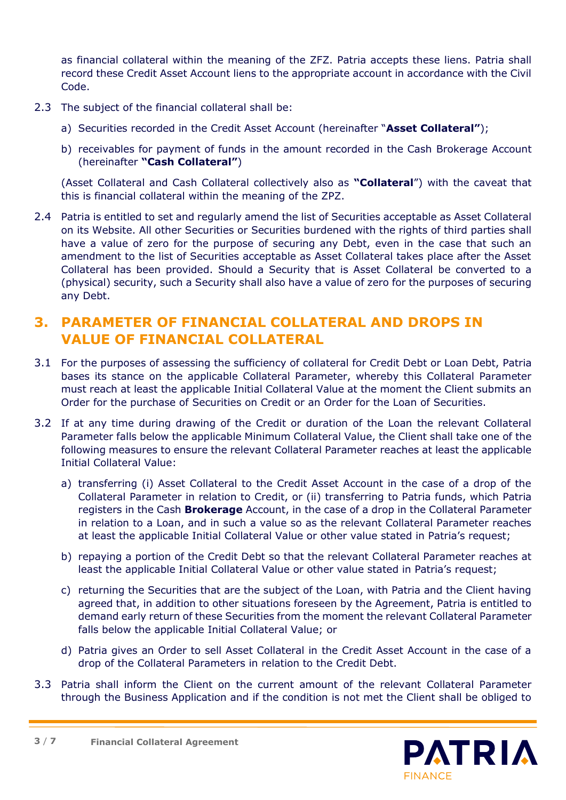as financial collateral within the meaning of the ZFZ. Patria accepts these liens. Patria shall record these Credit Asset Account liens to the appropriate account in accordance with the Civil Code.

- 2.3 The subject of the financial collateral shall be:
	- a) Securities recorded in the Credit Asset Account (hereinafter "**Asset Collateral"**);
	- b) receivables for payment of funds in the amount recorded in the Cash Brokerage Account (hereinafter **"Cash Collateral"**)

(Asset Collateral and Cash Collateral collectively also as **"Collateral**") with the caveat that this is financial collateral within the meaning of the ZPZ.

2.4 Patria is entitled to set and regularly amend the list of Securities acceptable as Asset Collateral on its Website. All other Securities or Securities burdened with the rights of third parties shall have a value of zero for the purpose of securing any Debt, even in the case that such an amendment to the list of Securities acceptable as Asset Collateral takes place after the Asset Collateral has been provided. Should a Security that is Asset Collateral be converted to a (physical) security, such a Security shall also have a value of zero for the purposes of securing any Debt.

#### **3. PARAMETER OF FINANCIAL COLLATERAL AND DROPS IN VALUE OF FINANCIAL COLLATERAL**

- 3.1 For the purposes of assessing the sufficiency of collateral for Credit Debt or Loan Debt, Patria bases its stance on the applicable Collateral Parameter, whereby this Collateral Parameter must reach at least the applicable Initial Collateral Value at the moment the Client submits an Order for the purchase of Securities on Credit or an Order for the Loan of Securities.
- 3.2 If at any time during drawing of the Credit or duration of the Loan the relevant Collateral Parameter falls below the applicable Minimum Collateral Value, the Client shall take one of the following measures to ensure the relevant Collateral Parameter reaches at least the applicable Initial Collateral Value:
	- a) transferring (i) Asset Collateral to the Credit Asset Account in the case of a drop of the Collateral Parameter in relation to Credit, or (ii) transferring to Patria funds, which Patria registers in the Cash **Brokerage** Account, in the case of a drop in the Collateral Parameter in relation to a Loan, and in such a value so as the relevant Collateral Parameter reaches at least the applicable Initial Collateral Value or other value stated in Patria's request;
	- b) repaying a portion of the Credit Debt so that the relevant Collateral Parameter reaches at least the applicable Initial Collateral Value or other value stated in Patria's request;
	- c) returning the Securities that are the subject of the Loan, with Patria and the Client having agreed that, in addition to other situations foreseen by the Agreement, Patria is entitled to demand early return of these Securities from the moment the relevant Collateral Parameter falls below the applicable Initial Collateral Value; or
	- d) Patria gives an Order to sell Asset Collateral in the Credit Asset Account in the case of a drop of the Collateral Parameters in relation to the Credit Debt.
- 3.3 Patria shall inform the Client on the current amount of the relevant Collateral Parameter through the Business Application and if the condition is not met the Client shall be obliged to

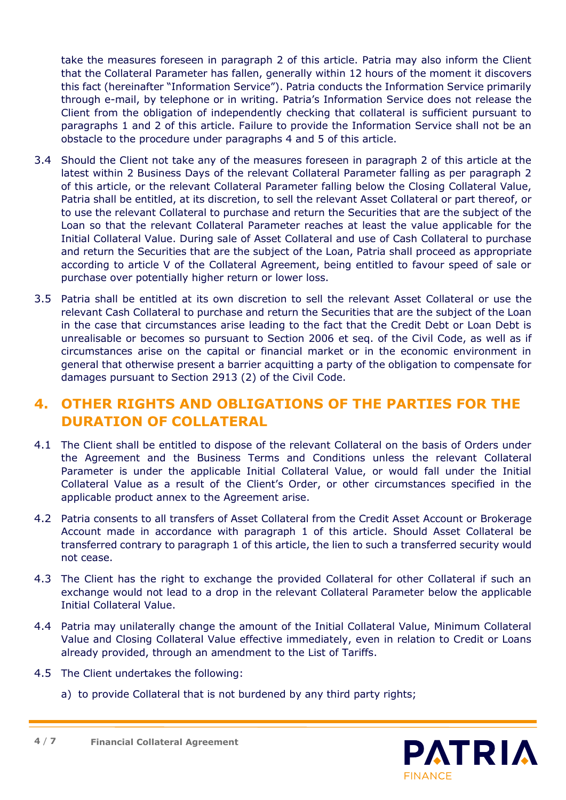take the measures foreseen in paragraph 2 of this article. Patria may also inform the Client that the Collateral Parameter has fallen, generally within 12 hours of the moment it discovers this fact (hereinafter "Information Service"). Patria conducts the Information Service primarily through e-mail, by telephone or in writing. Patria's Information Service does not release the Client from the obligation of independently checking that collateral is sufficient pursuant to paragraphs 1 and 2 of this article. Failure to provide the Information Service shall not be an obstacle to the procedure under paragraphs 4 and 5 of this article.

- 3.4 Should the Client not take any of the measures foreseen in paragraph 2 of this article at the latest within 2 Business Days of the relevant Collateral Parameter falling as per paragraph 2 of this article, or the relevant Collateral Parameter falling below the Closing Collateral Value, Patria shall be entitled, at its discretion, to sell the relevant Asset Collateral or part thereof, or to use the relevant Collateral to purchase and return the Securities that are the subject of the Loan so that the relevant Collateral Parameter reaches at least the value applicable for the Initial Collateral Value. During sale of Asset Collateral and use of Cash Collateral to purchase and return the Securities that are the subject of the Loan, Patria shall proceed as appropriate according to article V of the Collateral Agreement, being entitled to favour speed of sale or purchase over potentially higher return or lower loss.
- 3.5 Patria shall be entitled at its own discretion to sell the relevant Asset Collateral or use the relevant Cash Collateral to purchase and return the Securities that are the subject of the Loan in the case that circumstances arise leading to the fact that the Credit Debt or Loan Debt is unrealisable or becomes so pursuant to Section 2006 et seq. of the Civil Code, as well as if circumstances arise on the capital or financial market or in the economic environment in general that otherwise present a barrier acquitting a party of the obligation to compensate for damages pursuant to Section 2913 (2) of the Civil Code.

## **4. OTHER RIGHTS AND OBLIGATIONS OF THE PARTIES FOR THE DURATION OF COLLATERAL**

- 4.1 The Client shall be entitled to dispose of the relevant Collateral on the basis of Orders under the Agreement and the Business Terms and Conditions unless the relevant Collateral Parameter is under the applicable Initial Collateral Value, or would fall under the Initial Collateral Value as a result of the Client's Order, or other circumstances specified in the applicable product annex to the Agreement arise.
- 4.2 Patria consents to all transfers of Asset Collateral from the Credit Asset Account or Brokerage Account made in accordance with paragraph 1 of this article. Should Asset Collateral be transferred contrary to paragraph 1 of this article, the lien to such a transferred security would not cease.
- 4.3 The Client has the right to exchange the provided Collateral for other Collateral if such an exchange would not lead to a drop in the relevant Collateral Parameter below the applicable Initial Collateral Value.
- 4.4 Patria may unilaterally change the amount of the Initial Collateral Value, Minimum Collateral Value and Closing Collateral Value effective immediately, even in relation to Credit or Loans already provided, through an amendment to the List of Tariffs.
- 4.5 The Client undertakes the following:
	- a) to provide Collateral that is not burdened by any third party rights;

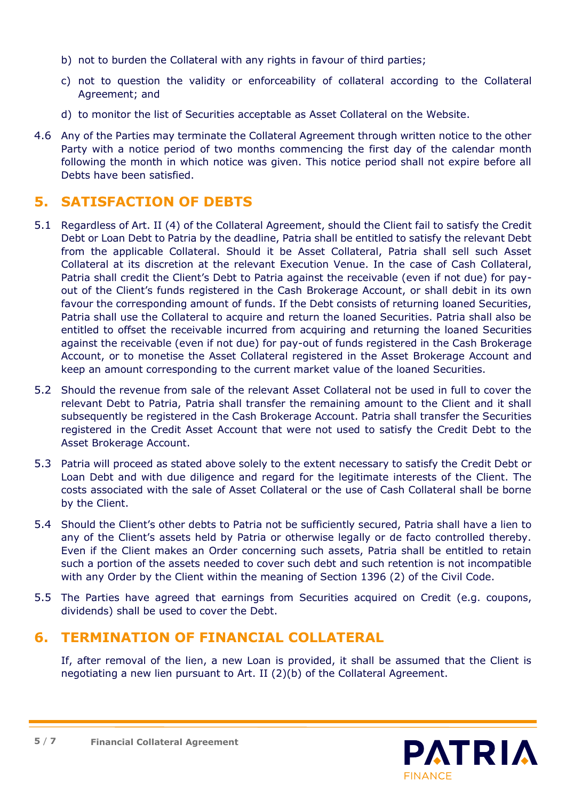- b) not to burden the Collateral with any rights in favour of third parties;
- c) not to question the validity or enforceability of collateral according to the Collateral Agreement; and
- d) to monitor the list of Securities acceptable as Asset Collateral on the Website.
- 4.6 Any of the Parties may terminate the Collateral Agreement through written notice to the other Party with a notice period of two months commencing the first day of the calendar month following the month in which notice was given. This notice period shall not expire before all Debts have been satisfied.

# **5. SATISFACTION OF DEBTS**

- 5.1 Regardless of Art. II (4) of the Collateral Agreement, should the Client fail to satisfy the Credit Debt or Loan Debt to Patria by the deadline, Patria shall be entitled to satisfy the relevant Debt from the applicable Collateral. Should it be Asset Collateral, Patria shall sell such Asset Collateral at its discretion at the relevant Execution Venue. In the case of Cash Collateral, Patria shall credit the Client's Debt to Patria against the receivable (even if not due) for payout of the Client's funds registered in the Cash Brokerage Account, or shall debit in its own favour the corresponding amount of funds. If the Debt consists of returning loaned Securities, Patria shall use the Collateral to acquire and return the loaned Securities. Patria shall also be entitled to offset the receivable incurred from acquiring and returning the loaned Securities against the receivable (even if not due) for pay-out of funds registered in the Cash Brokerage Account, or to monetise the Asset Collateral registered in the Asset Brokerage Account and keep an amount corresponding to the current market value of the loaned Securities.
- 5.2 Should the revenue from sale of the relevant Asset Collateral not be used in full to cover the relevant Debt to Patria, Patria shall transfer the remaining amount to the Client and it shall subsequently be registered in the Cash Brokerage Account. Patria shall transfer the Securities registered in the Credit Asset Account that were not used to satisfy the Credit Debt to the Asset Brokerage Account.
- 5.3 Patria will proceed as stated above solely to the extent necessary to satisfy the Credit Debt or Loan Debt and with due diligence and regard for the legitimate interests of the Client. The costs associated with the sale of Asset Collateral or the use of Cash Collateral shall be borne by the Client.
- 5.4 Should the Client's other debts to Patria not be sufficiently secured, Patria shall have a lien to any of the Client's assets held by Patria or otherwise legally or de facto controlled thereby. Even if the Client makes an Order concerning such assets, Patria shall be entitled to retain such a portion of the assets needed to cover such debt and such retention is not incompatible with any Order by the Client within the meaning of Section 1396 (2) of the Civil Code.
- 5.5 The Parties have agreed that earnings from Securities acquired on Credit (e.g. coupons, dividends) shall be used to cover the Debt.

## **6. TERMINATION OF FINANCIAL COLLATERAL**

If, after removal of the lien, a new Loan is provided, it shall be assumed that the Client is negotiating a new lien pursuant to Art. II (2)(b) of the Collateral Agreement.

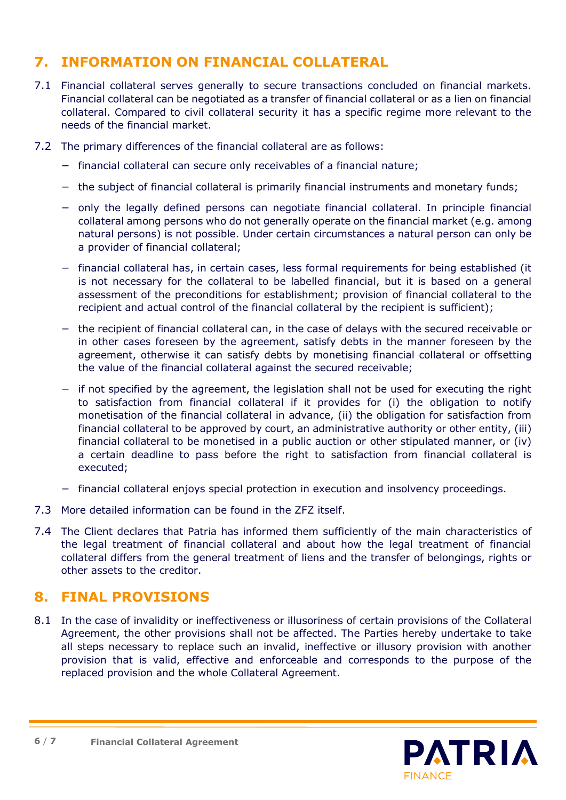# **7. INFORMATION ON FINANCIAL COLLATERAL**

- 7.1 Financial collateral serves generally to secure transactions concluded on financial markets. Financial collateral can be negotiated as a transfer of financial collateral or as a lien on financial collateral. Compared to civil collateral security it has a specific regime more relevant to the needs of the financial market.
- 7.2 The primary differences of the financial collateral are as follows:
	- − financial collateral can secure only receivables of a financial nature;
	- − the subject of financial collateral is primarily financial instruments and monetary funds;
	- − only the legally defined persons can negotiate financial collateral. In principle financial collateral among persons who do not generally operate on the financial market (e.g. among natural persons) is not possible. Under certain circumstances a natural person can only be a provider of financial collateral;
	- − financial collateral has, in certain cases, less formal requirements for being established (it is not necessary for the collateral to be labelled financial, but it is based on a general assessment of the preconditions for establishment; provision of financial collateral to the recipient and actual control of the financial collateral by the recipient is sufficient);
	- − the recipient of financial collateral can, in the case of delays with the secured receivable or in other cases foreseen by the agreement, satisfy debts in the manner foreseen by the agreement, otherwise it can satisfy debts by monetising financial collateral or offsetting the value of the financial collateral against the secured receivable;
	- − if not specified by the agreement, the legislation shall not be used for executing the right to satisfaction from financial collateral if it provides for (i) the obligation to notify monetisation of the financial collateral in advance, (ii) the obligation for satisfaction from financial collateral to be approved by court, an administrative authority or other entity, (iii) financial collateral to be monetised in a public auction or other stipulated manner, or (iv) a certain deadline to pass before the right to satisfaction from financial collateral is executed;
	- − financial collateral enjoys special protection in execution and insolvency proceedings.
- 7.3 More detailed information can be found in the ZFZ itself.
- 7.4 The Client declares that Patria has informed them sufficiently of the main characteristics of the legal treatment of financial collateral and about how the legal treatment of financial collateral differs from the general treatment of liens and the transfer of belongings, rights or other assets to the creditor.

#### **8. FINAL PROVISIONS**

8.1 In the case of invalidity or ineffectiveness or illusoriness of certain provisions of the Collateral Agreement, the other provisions shall not be affected. The Parties hereby undertake to take all steps necessary to replace such an invalid, ineffective or illusory provision with another provision that is valid, effective and enforceable and corresponds to the purpose of the replaced provision and the whole Collateral Agreement.